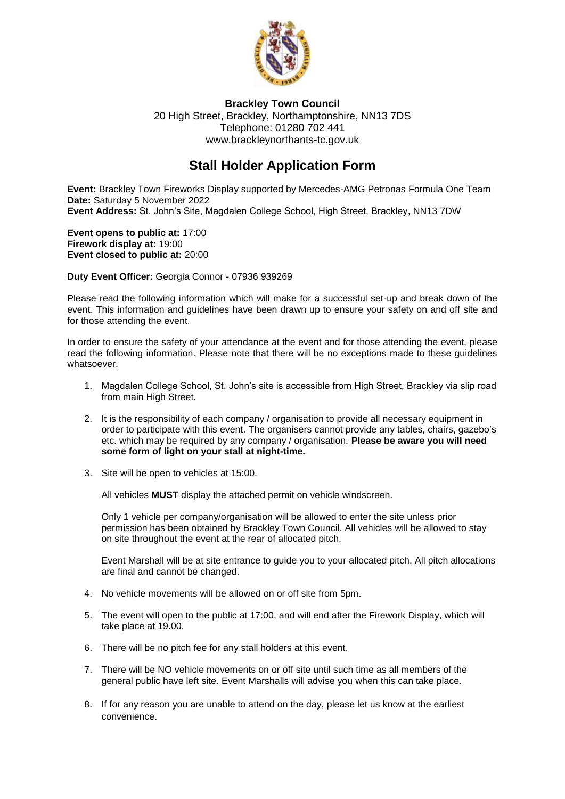

**Brackley Town Council** 20 High Street, Brackley, Northamptonshire, NN13 7DS Telephone: 01280 702 441 [www.brackleynorthants-tc.gov.uk](http://www.brackleynorthants-tc.gov.uk/)

# **Stall Holder Application Form**

**Event:** Brackley Town Fireworks Display supported by Mercedes-AMG Petronas Formula One Team **Date:** Saturday 5 November 2022 **Event Address:** St. John's Site, Magdalen College School, High Street, Brackley, NN13 7DW

**Event opens to public at:** 17:00 **Firework display at:** 19:00 **Event closed to public at:** 20:00

**Duty Event Officer:** Georgia Connor - 07936 939269

Please read the following information which will make for a successful set-up and break down of the event. This information and guidelines have been drawn up to ensure your safety on and off site and for those attending the event.

In order to ensure the safety of your attendance at the event and for those attending the event, please read the following information. Please note that there will be no exceptions made to these guidelines whatsoever.

- 1. Magdalen College School, St. John's site is accessible from High Street, Brackley via slip road from main High Street.
- 2. It is the responsibility of each company / organisation to provide all necessary equipment in order to participate with this event. The organisers cannot provide any tables, chairs, gazebo's etc. which may be required by any company / organisation. **Please be aware you will need some form of light on your stall at night-time.**
- 3. Site will be open to vehicles at 15:00.

All vehicles **MUST** display the attached permit on vehicle windscreen.

Only 1 vehicle per company/organisation will be allowed to enter the site unless prior permission has been obtained by Brackley Town Council. All vehicles will be allowed to stay on site throughout the event at the rear of allocated pitch.

Event Marshall will be at site entrance to guide you to your allocated pitch. All pitch allocations are final and cannot be changed.

- 4. No vehicle movements will be allowed on or off site from 5pm.
- 5. The event will open to the public at 17:00, and will end after the Firework Display, which will take place at 19.00.
- 6. There will be no pitch fee for any stall holders at this event.
- 7. There will be NO vehicle movements on or off site until such time as all members of the general public have left site. Event Marshalls will advise you when this can take place.
- 8. If for any reason you are unable to attend on the day, please let us know at the earliest convenience.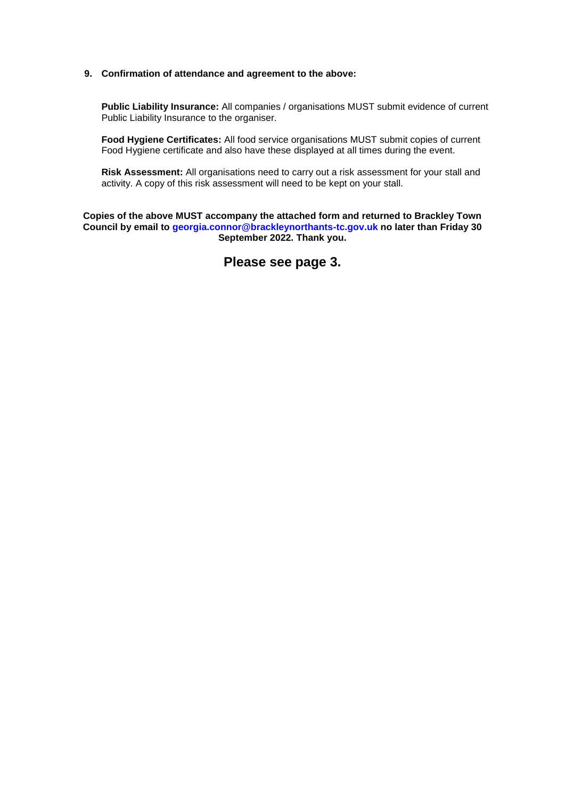#### **9. Confirmation of attendance and agreement to the above:**

**Public Liability Insurance:** All companies / organisations MUST submit evidence of current Public Liability Insurance to the organiser.

**Food Hygiene Certificates:** All food service organisations MUST submit copies of current Food Hygiene certificate and also have these displayed at all times during the event.

**Risk Assessment:** All organisations need to carry out a risk assessment for your stall and activity. A copy of this risk assessment will need to be kept on your stall.

**Copies of the above MUST accompany the attached form and returned to Brackley Town Council by email to [georgia.connor@brackleynorthants-tc.gov.uk](mailto:georgia.connor@brackleynorthants-tc.gov.uk) no later than Friday 30 September 2022. Thank you.**

**Please see page 3.**